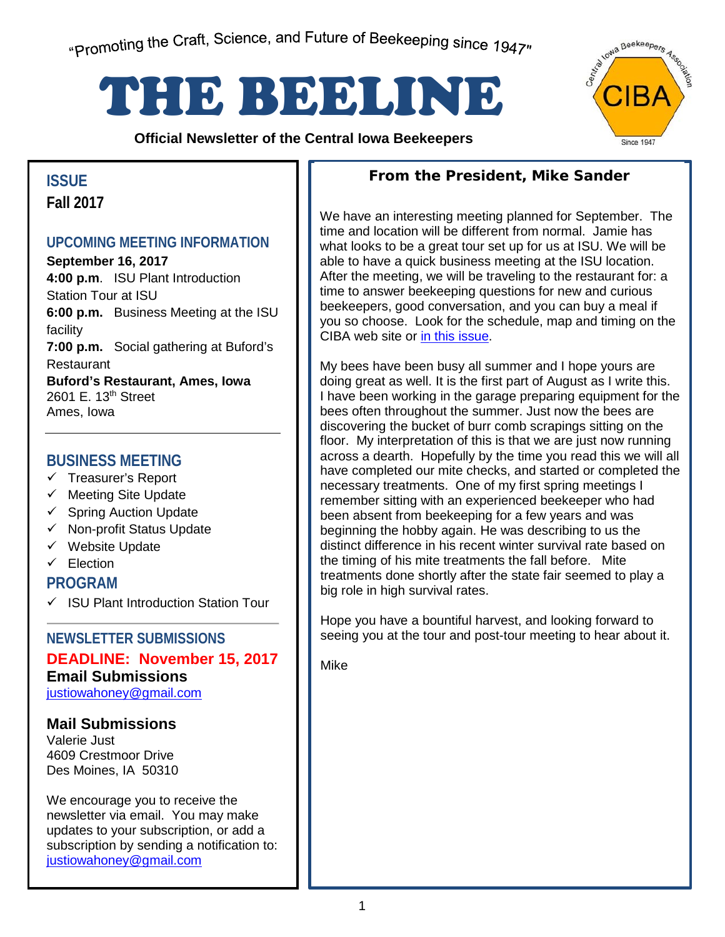# THE BEELINE

**Official Newsletter of the Central Iowa Beekeepers** 



## **Fall 2017**

#### **UPCOMING MEETING INFORMATION**

**September 16, 2017 4:00 p.m**. ISU Plant Introduction Station Tour at ISU **6:00 p.m.** Business Meeting at the ISU facility **7:00 p.m.** Social gathering at Buford's Restaurant **Buford's Restaurant, Ames, Iowa** 2601 E. 13th Street Ames, Iowa

#### **BUSINESS MEETING**

- $\checkmark$  Treasurer's Report
- $\checkmark$  Meeting Site Update
- $\checkmark$  Spring Auction Update
- $\checkmark$  Non-profit Status Update
- $\checkmark$  Website Update
- $\checkmark$  Election

**PROGRAM**

 $\checkmark$  ISU Plant Introduction Station Tour

#### **NEWSLETTER SUBMISSIONS**

### **DEADLINE: November 15, 2017 Email Submissions**

justiowahoney@gmail.com

#### **Mail Submissions**

Valerie Just 4609 Crestmoor Drive Des Moines, IA 50310

subscription by sending and<br><u>justiowahoney@gmail.com</u> We encourage you to receive the newsletter via email. You may make updates to your subscription, or add a subscription by sending a notification to:

#### **From the President, Mike Sander ISSUE**

We have an interesting meeting planned for September. The time and location will be different from normal. Jamie has what looks to be a great tour set up for us at ISU. We will be able to have a quick business meeting at the ISU location. After the meeting, we will be traveling to the restaurant for: a time to answer beekeeping questions for new and curious beekeepers, good conversation, and you can buy a meal if you so choose. Look for the schedule, map and timing on the CIBA web site or in this [issue.](#page-2-0)

My bees have been busy all summer and I hope yours are doing great as well. It is the first part of August as I write this. I have been working in the garage preparing equipment for the bees often throughout the summer. Just now the bees are discovering the bucket of burr comb scrapings sitting on the floor. My interpretation of this is that we are just now running across a dearth. Hopefully by the time you read this we will all have completed our mite checks, and started or completed the necessary treatments. One of my first spring meetings I remember sitting with an experienced beekeeper who had been absent from beekeeping for a few years and was beginning the hobby again. He was describing to us the distinct difference in his recent winter survival rate based on the timing of his mite treatments the fall before. Mite treatments done shortly after the state fair seemed to play a big role in high survival rates.

Hope you have a bountiful harvest, and looking forward to seeing you at the tour and post-tour meeting to hear about it.

Mike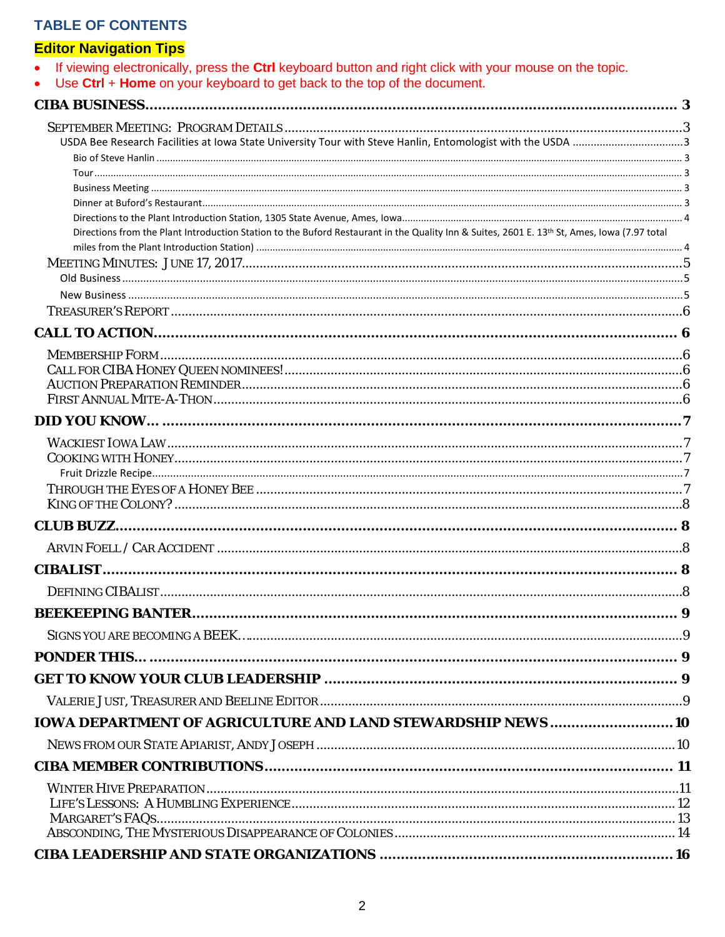#### **TABLE OF CONTENTS**

#### **Editor Navigation Tips**

| If viewing electronically, press the <b>Ctrl</b> keyboard button and right click with your mouse on the topic. |  |  |  |  |  |  |
|----------------------------------------------------------------------------------------------------------------|--|--|--|--|--|--|
|----------------------------------------------------------------------------------------------------------------|--|--|--|--|--|--|

• Use Ctrl + Home on your keyboard to get back to the top of the document.

| <b>CIBA BUSINESS.</b>                                                                                                                        |  |
|----------------------------------------------------------------------------------------------------------------------------------------------|--|
|                                                                                                                                              |  |
|                                                                                                                                              |  |
|                                                                                                                                              |  |
|                                                                                                                                              |  |
|                                                                                                                                              |  |
|                                                                                                                                              |  |
| Directions from the Plant Introduction Station to the Buford Restaurant in the Quality Inn & Suites, 2601 E. 13th St, Ames, Iowa (7.97 total |  |
|                                                                                                                                              |  |
|                                                                                                                                              |  |
|                                                                                                                                              |  |
|                                                                                                                                              |  |
|                                                                                                                                              |  |
|                                                                                                                                              |  |
|                                                                                                                                              |  |
|                                                                                                                                              |  |
|                                                                                                                                              |  |
|                                                                                                                                              |  |
|                                                                                                                                              |  |
|                                                                                                                                              |  |
|                                                                                                                                              |  |
|                                                                                                                                              |  |
|                                                                                                                                              |  |
|                                                                                                                                              |  |
|                                                                                                                                              |  |
|                                                                                                                                              |  |
|                                                                                                                                              |  |
|                                                                                                                                              |  |
|                                                                                                                                              |  |
|                                                                                                                                              |  |
|                                                                                                                                              |  |
|                                                                                                                                              |  |
| <b>IOWA DEPARTMENT OF AGRICULTURE AND LAND STEWARDSHIP NEWS 10</b>                                                                           |  |
|                                                                                                                                              |  |
|                                                                                                                                              |  |
|                                                                                                                                              |  |
|                                                                                                                                              |  |
|                                                                                                                                              |  |
|                                                                                                                                              |  |
|                                                                                                                                              |  |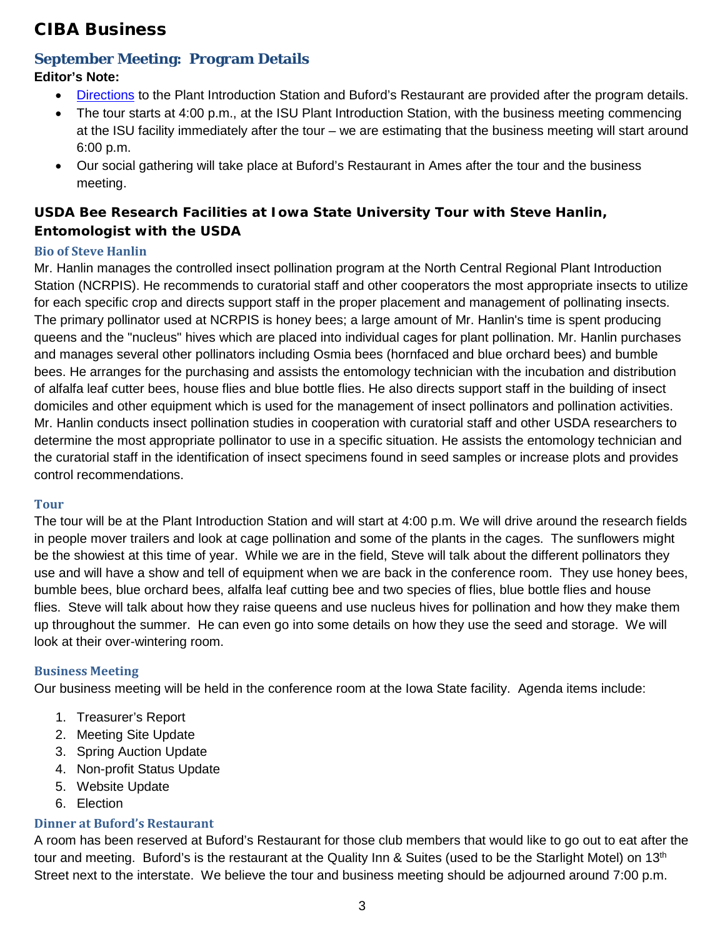#### <span id="page-2-1"></span>CIBA Business

#### <span id="page-2-0"></span>**September Meeting: Program Details**

#### **Editor's Note:**

- [Directions](#page-3-0) to the Plant Introduction Station and Buford's Restaurant are provided after the program details.
- The tour starts at 4:00 p.m., at the ISU Plant Introduction Station, with the business meeting commencing at the ISU facility immediately after the tour – we are estimating that the business meeting will start around 6:00 p.m.
- Our social gathering will take place at Buford's Restaurant in Ames after the tour and the business meeting.

#### <span id="page-2-2"></span>**USDA Bee Research Facilities at Iowa State University Tour with Steve Hanlin, Entomologist with the USDA**

#### <span id="page-2-3"></span>**Bio of Steve Hanlin**

Mr. Hanlin manages the controlled insect pollination program at the North Central Regional Plant Introduction Station (NCRPIS). He recommends to curatorial staff and other cooperators the most appropriate insects to utilize for each specific crop and directs support staff in the proper placement and management of pollinating insects. The primary pollinator used at NCRPIS is honey bees; a large amount of Mr. Hanlin's time is spent producing queens and the "nucleus" hives which are placed into individual cages for plant pollination. Mr. Hanlin purchases and manages several other pollinators including Osmia bees (hornfaced and blue orchard bees) and bumble bees. He arranges for the purchasing and assists the entomology technician with the incubation and distribution of alfalfa leaf cutter bees, house flies and blue bottle flies. He also directs support staff in the building of insect domiciles and other equipment which is used for the management of insect pollinators and pollination activities. Mr. Hanlin conducts insect pollination studies in cooperation with curatorial staff and other USDA researchers to determine the most appropriate pollinator to use in a specific situation. He assists the entomology technician and the curatorial staff in the identification of insect specimens found in seed samples or increase plots and provides control recommendations.

#### <span id="page-2-4"></span>**Tour**

The tour will be at the Plant Introduction Station and will start at 4:00 p.m. We will drive around the research fields in people mover trailers and look at cage pollination and some of the plants in the cages. The sunflowers might be the showiest at this time of year. While we are in the field, Steve will talk about the different pollinators they use and will have a show and tell of equipment when we are back in the conference room. They use honey bees, bumble bees, blue orchard bees, alfalfa leaf cutting bee and two species of flies, blue bottle flies and house flies. Steve will talk about how they raise queens and use nucleus hives for pollination and how they make them up throughout the summer. He can even go into some details on how they use the seed and storage. We will look at their over-wintering room.

#### <span id="page-2-5"></span>**Business Meeting**

Our business meeting will be held in the conference room at the Iowa State facility. Agenda items include:

- 1. Treasurer's Report
- 2. Meeting Site Update
- 3. Spring Auction Update
- 4. Non-profit Status Update
- 5. Website Update
- 6. Election

#### <span id="page-2-6"></span>**Dinner at Buford's Restaurant**

A room has been reserved at Buford's Restaurant for those club members that would like to go out to eat after the tour and meeting. Buford's is the restaurant at the Quality Inn & Suites (used to be the Starlight Motel) on 13<sup>th</sup> Street next to the interstate. We believe the tour and business meeting should be adjourned around 7:00 p.m.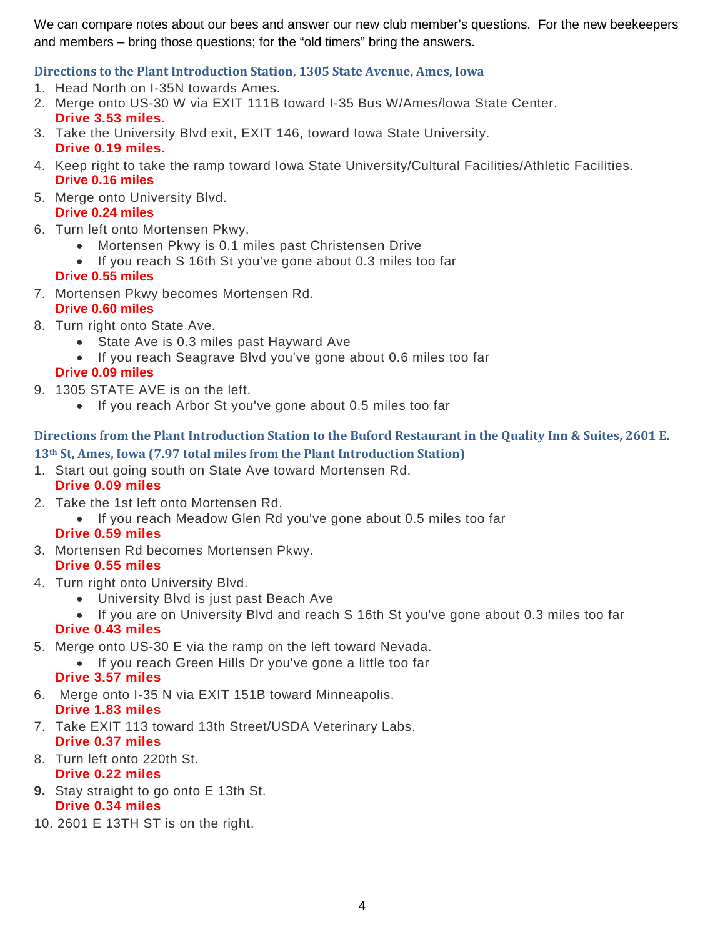We can compare notes about our bees and answer our new club member's questions. For the new beekeepers and members – bring those questions; for the "old timers" bring the answers.

#### <span id="page-3-0"></span>**Directions to the Plant Introduction Station, 1305 State Avenue, Ames, Iowa**

- 1. Head North on I-35N towards Ames.
- 2. Merge onto US-30 W via EXIT 111B toward I-35 Bus W/Ames/lowa State Center. **Drive 3.53 miles.**
- 3. Take the University Blvd exit, EXIT 146, toward Iowa State University. **Drive 0.19 miles.**
- 4. Keep right to take the ramp toward Iowa State University/Cultural Facilities/Athletic Facilities. **Drive 0.16 miles**
- 5. Merge onto University Blvd. **Drive 0.24 miles**
- 6. Turn left onto Mortensen Pkwy.
	- Mortensen Pkwy is 0.1 miles past Christensen Drive
	- If you reach S 16th St you've gone about 0.3 miles too far

#### **Drive 0.55 miles**

7. Mortensen Pkwy becomes Mortensen Rd.

#### **Drive 0.60 miles**

- 8. Turn right onto State Ave.
	- State Ave is 0.3 miles past Hayward Ave
	- If you reach Seagrave Blvd you've gone about 0.6 miles too far

#### **Drive 0.09 miles**

- 9. 1305 STATE AVE is on the left.
	- If you reach Arbor St you've gone about 0.5 miles too far

#### <span id="page-3-1"></span>**Directions from the Plant Introduction Station to the Buford Restaurant in the Quality Inn & Suites, 2601 E. 13th St, Ames, Iowa (7.97 total miles from the Plant Introduction Station)**

1. Start out going south on State Ave toward Mortensen Rd.

#### **Drive 0.09 miles**

- 2. Take the 1st left onto Mortensen Rd.
	- If you reach Meadow Glen Rd you've gone about 0.5 miles too far

#### **Drive 0.59 miles**

- 3. Mortensen Rd becomes Mortensen Pkwy. **Drive 0.55 miles**
- 4. Turn right onto University Blvd.
	- University Blvd is just past Beach Ave
	- If you are on University Blvd and reach S 16th St you've gone about 0.3 miles too far **Drive 0.43 miles**
- 5. Merge onto US-30 E via the ramp on the left toward Nevada.
	- If you reach Green Hills Dr you've gone a little too far

#### **Drive 3.57 miles**

- 6. Merge onto I-35 N via EXIT 151B toward Minneapolis. **Drive 1.83 miles**
- 7. Take EXIT 113 toward 13th Street/USDA Veterinary Labs. **Drive 0.37 miles**
- 8. Turn left onto 220th St. **Drive 0.22 miles**
- **9.** Stay straight to go onto E 13th St. **Drive 0.34 miles**
- 10. 2601 E 13TH ST is on the right.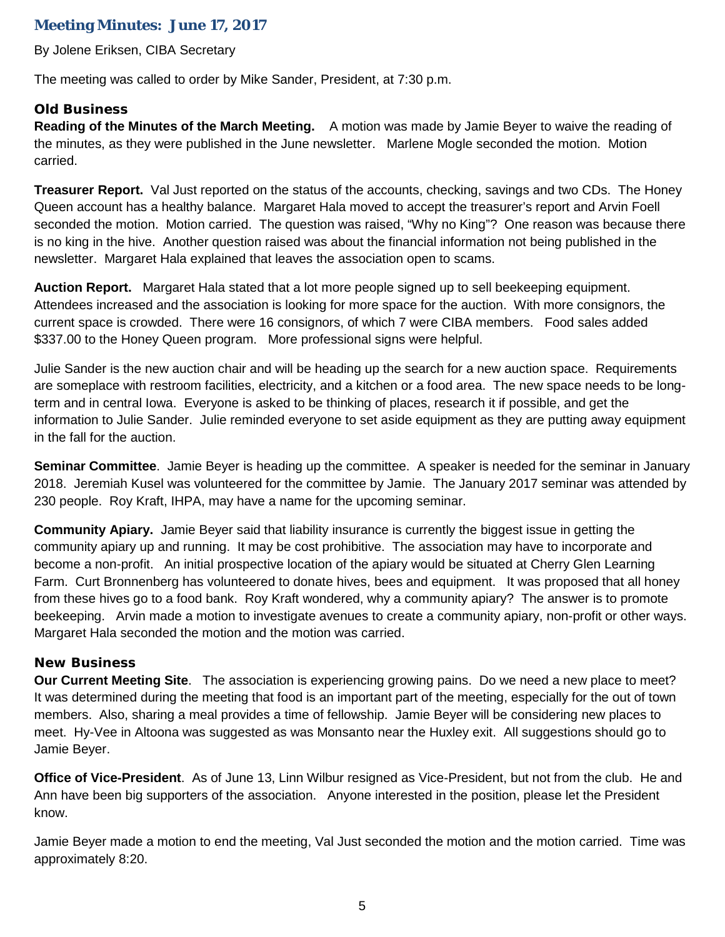#### <span id="page-4-0"></span>**Meeting Minutes: June 17, 2017**

By Jolene Eriksen, CIBA Secretary

The meeting was called to order by Mike Sander, President, at 7:30 p.m.

#### <span id="page-4-1"></span>**Old Business**

**Reading of the Minutes of the March Meeting.** A motion was made by Jamie Beyer to waive the reading of the minutes, as they were published in the June newsletter. Marlene Mogle seconded the motion. Motion carried.

**Treasurer Report.** Val Just reported on the status of the accounts, checking, savings and two CDs. The Honey Queen account has a healthy balance. Margaret Hala moved to accept the treasurer's report and Arvin Foell seconded the motion. Motion carried. The question was raised, "Why no King"? One reason was because there is no king in the hive. Another question raised was about the financial information not being published in the newsletter. Margaret Hala explained that leaves the association open to scams.

**Auction Report.** Margaret Hala stated that a lot more people signed up to sell beekeeping equipment. Attendees increased and the association is looking for more space for the auction. With more consignors, the current space is crowded. There were 16 consignors, of which 7 were CIBA members. Food sales added \$337.00 to the Honey Queen program. More professional signs were helpful.

Julie Sander is the new auction chair and will be heading up the search for a new auction space. Requirements are someplace with restroom facilities, electricity, and a kitchen or a food area. The new space needs to be longterm and in central Iowa. Everyone is asked to be thinking of places, research it if possible, and get the information to Julie Sander. Julie reminded everyone to set aside equipment as they are putting away equipment in the fall for the auction.

**Seminar Committee**. Jamie Beyer is heading up the committee. A speaker is needed for the seminar in January 2018. Jeremiah Kusel was volunteered for the committee by Jamie. The January 2017 seminar was attended by 230 people. Roy Kraft, IHPA, may have a name for the upcoming seminar.

**Community Apiary.** Jamie Beyer said that liability insurance is currently the biggest issue in getting the community apiary up and running. It may be cost prohibitive. The association may have to incorporate and become a non-profit. An initial prospective location of the apiary would be situated at Cherry Glen Learning Farm. Curt Bronnenberg has volunteered to donate hives, bees and equipment. It was proposed that all honey from these hives go to a food bank. Roy Kraft wondered, why a community apiary? The answer is to promote beekeeping. Arvin made a motion to investigate avenues to create a community apiary, non-profit or other ways. Margaret Hala seconded the motion and the motion was carried.

#### <span id="page-4-2"></span>**New Business**

**Our Current Meeting Site**. The association is experiencing growing pains. Do we need a new place to meet? It was determined during the meeting that food is an important part of the meeting, especially for the out of town members. Also, sharing a meal provides a time of fellowship. Jamie Beyer will be considering new places to meet. Hy-Vee in Altoona was suggested as was Monsanto near the Huxley exit. All suggestions should go to Jamie Beyer.

**Office of Vice-President**. As of June 13, Linn Wilbur resigned as Vice-President, but not from the club. He and Ann have been big supporters of the association. Anyone interested in the position, please let the President know.

Jamie Beyer made a motion to end the meeting, Val Just seconded the motion and the motion carried. Time was approximately 8:20.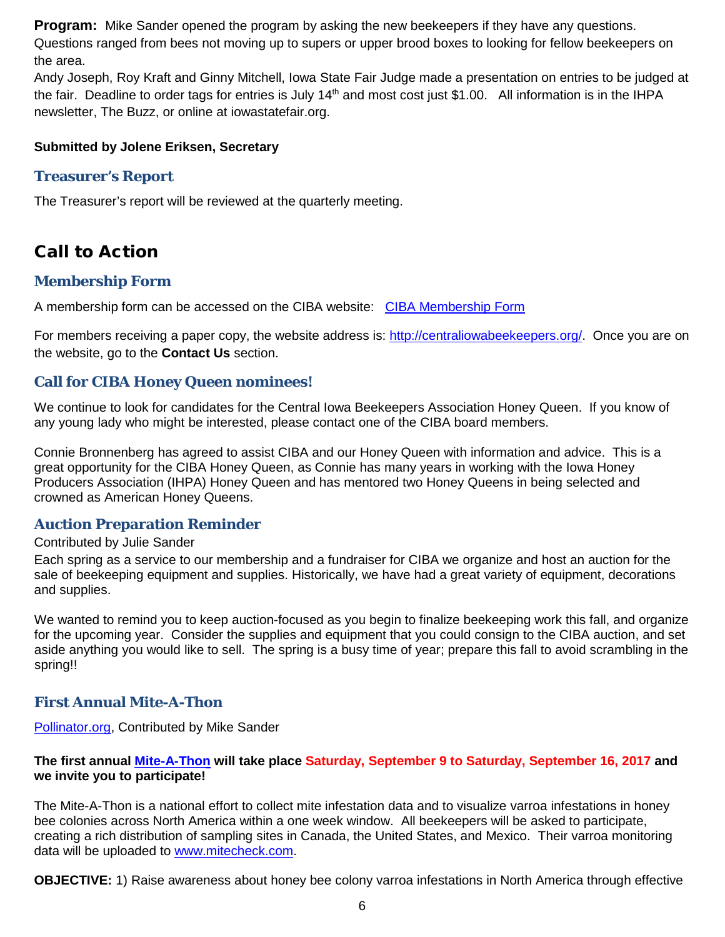**Program:** Mike Sander opened the program by asking the new beekeepers if they have any questions. Questions ranged from bees not moving up to supers or upper brood boxes to looking for fellow beekeepers on the area.

Andy Joseph, Roy Kraft and Ginny Mitchell, Iowa State Fair Judge made a presentation on entries to be judged at the fair. Deadline to order tags for entries is July  $14<sup>th</sup>$  and most cost just \$1.00. All information is in the IHPA newsletter, The Buzz, or online at iowastatefair.org.

#### **Submitted by Jolene Eriksen, Secretary**

#### <span id="page-5-0"></span>**Treasurer's Report**

The Treasurer's report will be reviewed at the quarterly meeting.

#### <span id="page-5-1"></span>Call to Action

#### <span id="page-5-2"></span>**Membership Form**

A membership form can be accessed on the CIBA website: [CIBA Membership Form](http://centraliowabeekeepers.org/contact-us)

For members receiving a paper copy, the website address is: [http://centraliowabeekeepers.org/.](http://centraliowabeekeepers.org/) Once you are on the website, go to the **Contact Us** section.

#### <span id="page-5-3"></span>**Call for CIBA Honey Queen nominees!**

We continue to look for candidates for the Central Iowa Beekeepers Association Honey Queen. If you know of any young lady who might be interested, please contact one of the CIBA board members.

Connie Bronnenberg has agreed to assist CIBA and our Honey Queen with information and advice. This is a great opportunity for the CIBA Honey Queen, as Connie has many years in working with the Iowa Honey Producers Association (IHPA) Honey Queen and has mentored two Honey Queens in being selected and crowned as American Honey Queens.

#### <span id="page-5-4"></span>**Auction Preparation Reminder**

#### Contributed by Julie Sander

Each spring as a service to our membership and a fundraiser for CIBA we organize and host an auction for the sale of beekeeping equipment and supplies. Historically, we have had a great variety of equipment, decorations and supplies.

We wanted to remind you to keep auction-focused as you begin to finalize beekeeping work this fall, and organize for the upcoming year. Consider the supplies and equipment that you could consign to the CIBA auction, and set aside anything you would like to sell. The spring is a busy time of year; prepare this fall to avoid scrambling in the spring!!

#### <span id="page-5-5"></span>**First Annual Mite-A-Thon**

[Pollinator.org,](http://www.pollinator.org/miteathon?utm_content=Mike&utm_source=VerticalResponse&utm_medium=Email&utm_term=mite-a-thon%2520banner%2520image%25202%2Ejpg&utm_campaign=The%20Mite-A-Thon%20is%20coming%20up%21) Contributed by Mike Sander

#### **The first annual [Mite-A-Thon](http://cts.vresp.com/c/?PollinatorPartnershi/61155874ba/a281d1862e/754cc2c2c4/utm_content=Mike&utm_source=VerticalResponse&utm_medium=Email&utm_term=Mite-A-Thon&utm_campaign=The%20Mite-A-Thon%20is%20coming%20up%21) will take place Saturday, September 9 to Saturday, September 16, 2017 and we invite you to participate!**

The Mite-A-Thon is a national effort to collect mite infestation data and to visualize varroa infestations in honey bee colonies across North America within a one week window. All beekeepers will be asked to participate, creating a rich distribution of sampling sites in Canada, the United States, and Mexico. Their varroa monitoring data will be uploaded to [www.mitecheck.com.](http://cts.vresp.com/c/?PollinatorPartnershi/61155874ba/a281d1862e/711b2946b4)

**OBJECTIVE:** 1) Raise awareness about honey bee colony varroa infestations in North America through effective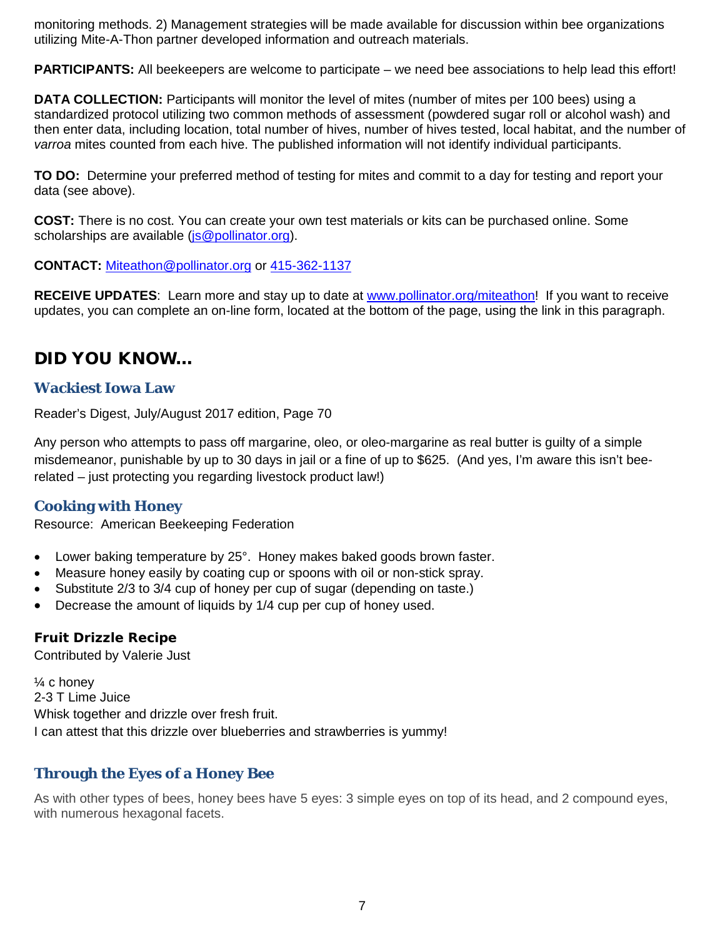monitoring methods. 2) Management strategies will be made available for discussion within bee organizations utilizing Mite-A-Thon partner developed information and outreach materials.

**PARTICIPANTS:** All beekeepers are welcome to participate – we need bee associations to help lead this effort!

**DATA COLLECTION:** Participants will monitor the level of mites (number of mites per 100 bees) using a standardized protocol utilizing two common methods of assessment (powdered sugar roll or alcohol wash) and then enter data, including location, total number of hives, number of hives tested, local habitat, and the number of *varroa* mites counted from each hive. The published information will not identify individual participants.

**TO DO:** Determine your preferred method of testing for mites and commit to a day for testing and report your data (see above).

**COST:** There is no cost. You can create your own test materials or kits can be purchased online. Some scholarships are available [\(js@pollinator.org\)](mailto:js@pollinator.org).

**CONTACT:** [Miteathon@pollinator.org](mailto:Miteathon@pollinator.org) or [415-362-1137](tel:(415)%20362-1137)

**RECEIVE UPDATES**: Learn more and stay up to date at [www.pollinator.org/miteathon!](http://cts.vresp.com/c/?PollinatorPartnershi/61155874ba/a281d1862e/0f5edbe5b6/utm_content=Mike&utm_source=VerticalResponse&utm_medium=Email&utm_term=www%2Epollinator%2Eorg%2Fmiteathon&utm_campaign=The%20Mite-A-Thon%20is%20coming%20up%21) If you want to receive updates, you can complete an on-line form, located at the bottom of the page, using the link in this paragraph.

#### <span id="page-6-0"></span>DID YOU KNOW…

#### <span id="page-6-1"></span>**Wackiest Iowa Law**

Reader's Digest, July/August 2017 edition, Page 70

Any person who attempts to pass off margarine, oleo, or oleo-margarine as real butter is guilty of a simple misdemeanor, punishable by up to 30 days in jail or a fine of up to \$625. (And yes, I'm aware this isn't beerelated – just protecting you regarding livestock product law!)

#### <span id="page-6-2"></span>**Cooking with Honey**

Resource: American Beekeeping Federation

- Lower baking temperature by 25°. Honey makes baked goods brown faster.
- Measure honey easily by coating cup or spoons with oil or non-stick spray.
- Substitute 2/3 to 3/4 cup of honey per cup of sugar (depending on taste.)
- Decrease the amount of liquids by 1/4 cup per cup of honey used.

#### <span id="page-6-3"></span>**Fruit Drizzle Recipe**

Contributed by Valerie Just

¼ c honey 2-3 T Lime Juice Whisk together and drizzle over fresh fruit. I can attest that this drizzle over blueberries and strawberries is yummy!

#### <span id="page-6-4"></span>**Through the Eyes of a Honey Bee**

<span id="page-6-5"></span>As with other types of bees, honey bees have 5 eyes: 3 simple eyes on top of its head, and 2 compound eyes, with numerous hexagonal facets.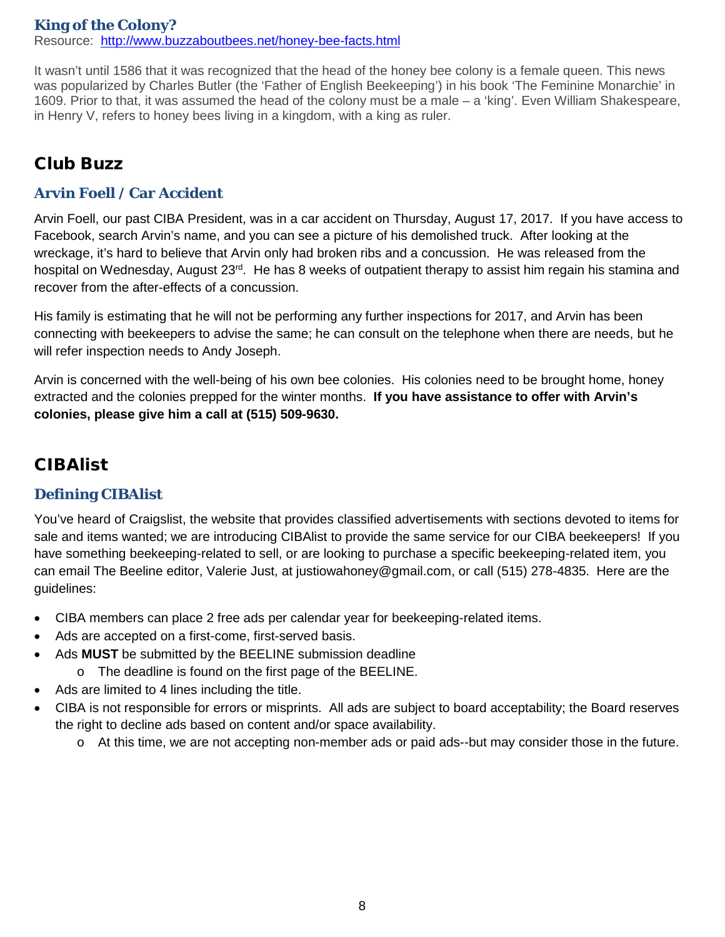#### **King of the Colony?** Resource: <http://www.buzzaboutbees.net/honey-bee-facts.html>

It wasn't until 1586 that it was recognized that the head of the honey bee colony is a female queen. This news was popularized by Charles Butler (the 'Father of English Beekeeping') in his book 'The Feminine Monarchie' in 1609. Prior to that, it was assumed the head of the colony must be a male – a 'king'. Even William Shakespeare, in Henry V, refers to honey bees living in a kingdom, with a king as ruler.

#### <span id="page-7-0"></span>Club Buzz

#### <span id="page-7-1"></span>**Arvin Foell / Car Accident**

Arvin Foell, our past CIBA President, was in a car accident on Thursday, August 17, 2017. If you have access to Facebook, search Arvin's name, and you can see a picture of his demolished truck. After looking at the wreckage, it's hard to believe that Arvin only had broken ribs and a concussion. He was released from the hospital on Wednesday, August 23<sup>rd</sup>. He has 8 weeks of outpatient therapy to assist him regain his stamina and recover from the after-effects of a concussion.

His family is estimating that he will not be performing any further inspections for 2017, and Arvin has been connecting with beekeepers to advise the same; he can consult on the telephone when there are needs, but he will refer inspection needs to Andy Joseph.

Arvin is concerned with the well-being of his own bee colonies. His colonies need to be brought home, honey extracted and the colonies prepped for the winter months. **If you have assistance to offer with Arvin's colonies, please give him a call at (515) 509-9630.** 

#### <span id="page-7-2"></span>CIBAlist

#### <span id="page-7-3"></span>**Defining CIBAlist**

You've heard of Craigslist, the website that provides classified advertisements with sections devoted to items for sale and items wanted; we are introducing CIBAlist to provide the same service for our CIBA beekeepers! If you have something beekeeping-related to sell, or are looking to purchase a specific beekeeping-related item, you can email The Beeline editor, Valerie Just, at justiowahoney@gmail.com, or call (515) 278-4835. Here are the guidelines:

- CIBA members can place 2 free ads per calendar year for beekeeping-related items.
- Ads are accepted on a first-come, first-served basis.
- Ads **MUST** be submitted by the BEELINE submission deadline
	- o The deadline is found on the first page of the BEELINE.
- Ads are limited to 4 lines including the title.
- <span id="page-7-4"></span>• CIBA is not responsible for errors or misprints. All ads are subject to board acceptability; the Board reserves the right to decline ads based on content and/or space availability.
	- o At this time, we are not accepting non-member ads or paid ads--but may consider those in the future.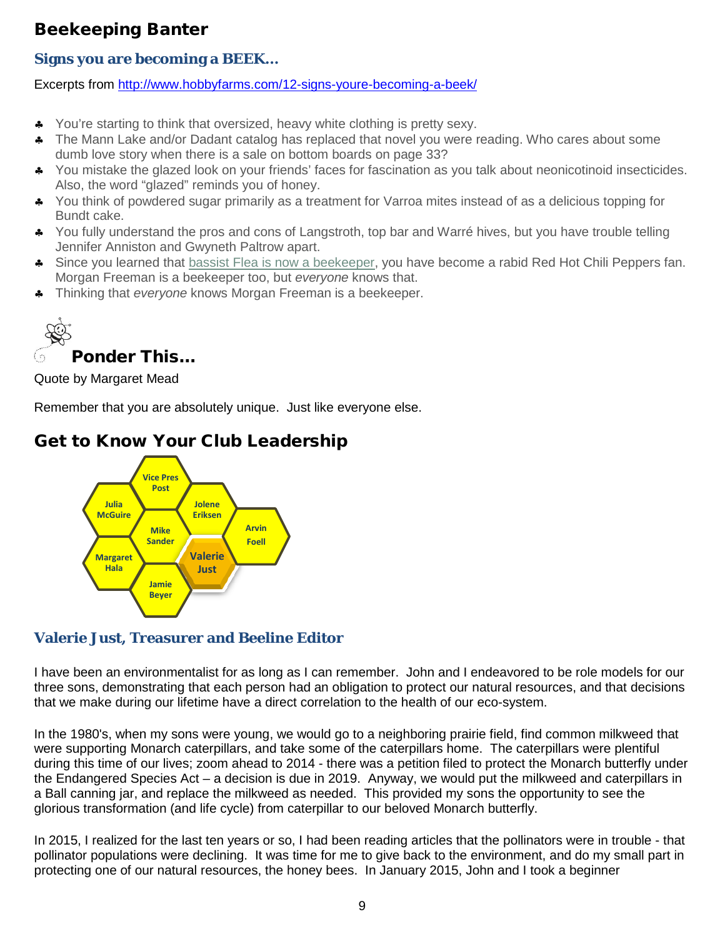#### Beekeeping Banter

#### <span id="page-8-0"></span>**Signs you are becoming a BEEK…**

Excerpts from<http://www.hobbyfarms.com/12-signs-youre-becoming-a-beek/>

- ♣ You're starting to think that oversized, heavy white clothing is pretty sexy.
- ♣ The Mann Lake and/or Dadant catalog has replaced that novel you were reading. Who cares about some dumb love story when there is a sale on bottom boards on page 33?
- ♣ You mistake the glazed look on your friends' faces for fascination as you talk about neonicotinoid insecticides. Also, the word "glazed" reminds you of honey.
- ♣ You think of powdered sugar primarily as a treatment for Varroa mites instead of as a delicious topping for Bundt cake.
- ♣ You fully understand the pros and cons of Langstroth, top bar and Warré hives, but you have trouble telling Jennifer Anniston and Gwyneth Paltrow apart.
- ♣ Since you learned that [bassist Flea is now a beekeeper,](http://www.hobbyfarms.com/urban-farm-news/2015/08/17/red-hot-chili-peppers-bassist-now-beekeeper-trending.aspx) you have become a rabid Red Hot Chili Peppers fan. Morgan Freeman is a beekeeper too, but *everyone* knows that.
- <span id="page-8-1"></span>♣ Thinking that *everyone* knows Morgan Freeman is a beekeeper.

Ponder This…

Quote by Margaret Mead

Remember that you are absolutely unique. Just like everyone else.

#### <span id="page-8-2"></span>Get to Know Your Club Leadership



#### <span id="page-8-3"></span>**Valerie Just, Treasurer and Beeline Editor**

I have been an environmentalist for as long as I can remember. John and I endeavored to be role models for our three sons, demonstrating that each person had an obligation to protect our natural resources, and that decisions that we make during our lifetime have a direct correlation to the health of our eco-system.

In the 1980's, when my sons were young, we would go to a neighboring prairie field, find common milkweed that were supporting Monarch caterpillars, and take some of the caterpillars home. The caterpillars were plentiful during this time of our lives; zoom ahead to 2014 - there was a petition filed to protect the Monarch butterfly under the Endangered Species Act – a decision is due in 2019. Anyway, we would put the milkweed and caterpillars in a Ball canning jar, and replace the milkweed as needed. This provided my sons the opportunity to see the glorious transformation (and life cycle) from caterpillar to our beloved Monarch butterfly.

In 2015, I realized for the last ten years or so, I had been reading articles that the pollinators were in trouble - that pollinator populations were declining. It was time for me to give back to the environment, and do my small part in protecting one of our natural resources, the honey bees. In January 2015, John and I took a beginner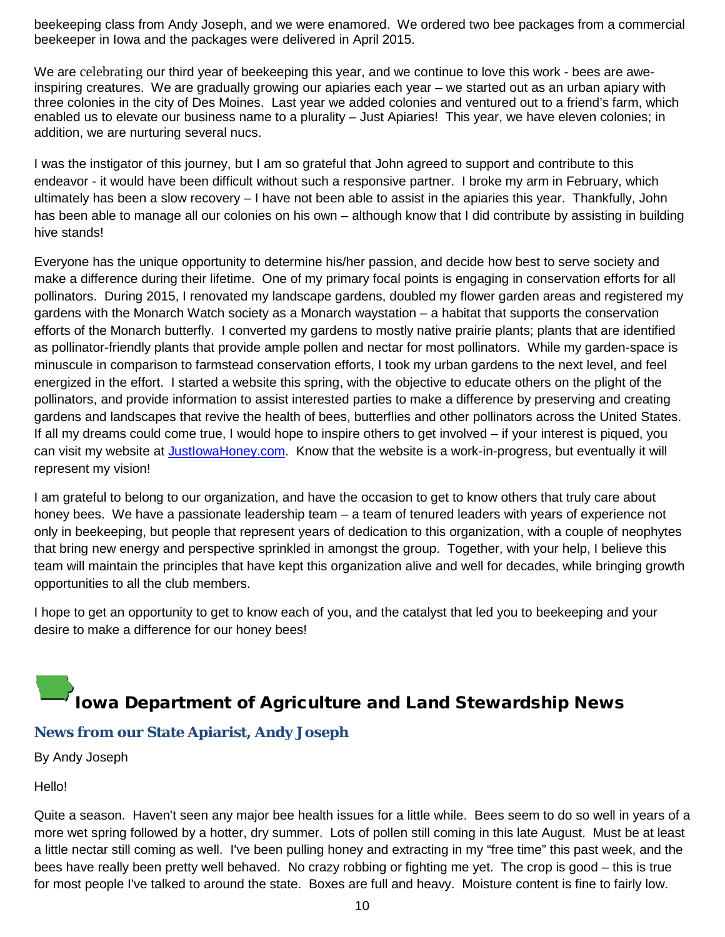beekeeping class from Andy Joseph, and we were enamored. We ordered two bee packages from a commercial beekeeper in Iowa and the packages were delivered in April 2015.

We are celebrating our third year of beekeeping this year, and we continue to love this work - bees are aweinspiring creatures. We are gradually growing our apiaries each year – we started out as an urban apiary with three colonies in the city of Des Moines. Last year we added colonies and ventured out to a friend's farm, which enabled us to elevate our business name to a plurality – Just Apiaries! This year, we have eleven colonies; in addition, we are nurturing several nucs.

I was the instigator of this journey, but I am so grateful that John agreed to support and contribute to this endeavor - it would have been difficult without such a responsive partner. I broke my arm in February, which ultimately has been a slow recovery – I have not been able to assist in the apiaries this year. Thankfully, John has been able to manage all our colonies on his own – although know that I did contribute by assisting in building hive stands!

Everyone has the unique opportunity to determine his/her passion, and decide how best to serve society and make a difference during their lifetime. One of my primary focal points is engaging in conservation efforts for all pollinators. During 2015, I renovated my landscape gardens, doubled my flower garden areas and registered my gardens with the Monarch Watch society as a Monarch waystation – a habitat that supports the conservation efforts of the Monarch butterfly. I converted my gardens to mostly native prairie plants; plants that are identified as pollinator-friendly plants that provide ample pollen and nectar for most pollinators. While my garden-space is minuscule in comparison to farmstead conservation efforts, I took my urban gardens to the next level, and feel energized in the effort. I started a website this spring, with the objective to educate others on the plight of the pollinators, and provide information to assist interested parties to make a difference by preserving and creating gardens and landscapes that revive the health of bees, butterflies and other pollinators across the United States. If all my dreams could come true, I would hope to inspire others to get involved – if your interest is piqued, you can visit my website at [JustIowaHoney.com.](https://www.justiowahoney.com/) Know that the website is a work-in-progress, but eventually it will represent my vision!

I am grateful to belong to our organization, and have the occasion to get to know others that truly care about honey bees. We have a passionate leadership team – a team of tenured leaders with years of experience not only in beekeeping, but people that represent years of dedication to this organization, with a couple of neophytes that bring new energy and perspective sprinkled in amongst the group. Together, with your help, I believe this team will maintain the principles that have kept this organization alive and well for decades, while bringing growth opportunities to all the club members.

I hope to get an opportunity to get to know each of you, and the catalyst that led you to beekeeping and your desire to make a difference for our honey bees!

### <span id="page-9-0"></span>Iowa Department of Agriculture and Land Stewardship News

#### <span id="page-9-1"></span>**News from our State Apiarist, Andy Joseph**

By Andy Joseph

Hello!

Quite a season. Haven't seen any major bee health issues for a little while. Bees seem to do so well in years of a more wet spring followed by a hotter, dry summer. Lots of pollen still coming in this late August. Must be at least a little nectar still coming as well. I've been pulling honey and extracting in my "free time" this past week, and the bees have really been pretty well behaved. No crazy robbing or fighting me yet. The crop is good – this is true for most people I've talked to around the state. Boxes are full and heavy. Moisture content is fine to fairly low.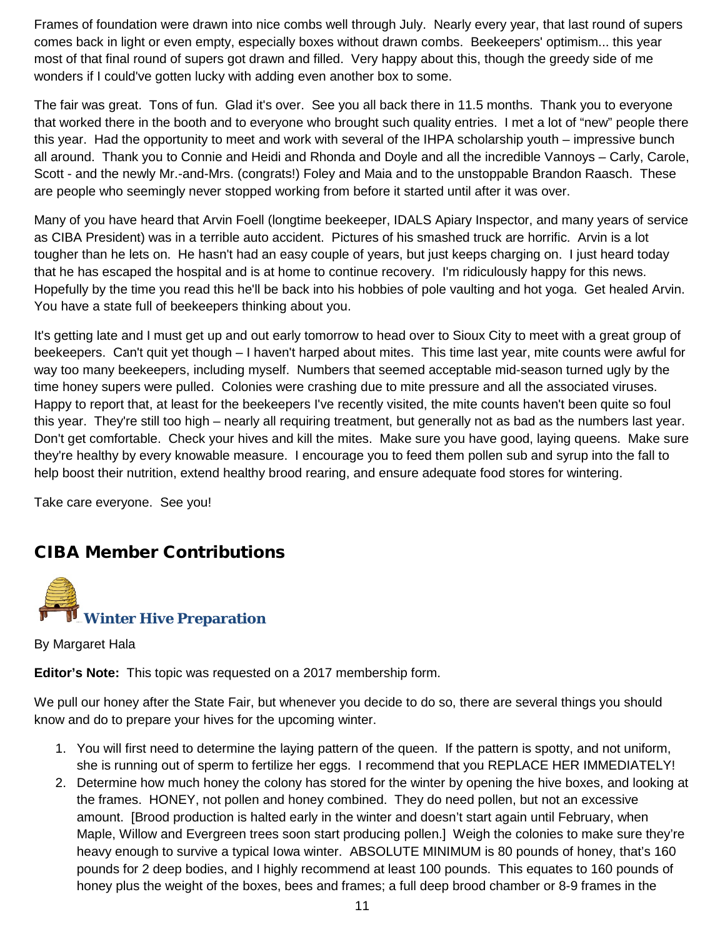Frames of foundation were drawn into nice combs well through July. Nearly every year, that last round of supers comes back in light or even empty, especially boxes without drawn combs. Beekeepers' optimism... this year most of that final round of supers got drawn and filled. Very happy about this, though the greedy side of me wonders if I could've gotten lucky with adding even another box to some.

The fair was great. Tons of fun. Glad it's over. See you all back there in 11.5 months. Thank you to everyone that worked there in the booth and to everyone who brought such quality entries. I met a lot of "new" people there this year. Had the opportunity to meet and work with several of the IHPA scholarship youth – impressive bunch all around. Thank you to Connie and Heidi and Rhonda and Doyle and all the incredible Vannoys – Carly, Carole, Scott - and the newly Mr.-and-Mrs. (congrats!) Foley and Maia and to the unstoppable Brandon Raasch. These are people who seemingly never stopped working from before it started until after it was over.

Many of you have heard that Arvin Foell (longtime beekeeper, IDALS Apiary Inspector, and many years of service as CIBA President) was in a terrible auto accident. Pictures of his smashed truck are horrific. Arvin is a lot tougher than he lets on. He hasn't had an easy couple of years, but just keeps charging on. I just heard today that he has escaped the hospital and is at home to continue recovery. I'm ridiculously happy for this news. Hopefully by the time you read this he'll be back into his hobbies of pole vaulting and hot yoga. Get healed Arvin. You have a state full of beekeepers thinking about you.

It's getting late and I must get up and out early tomorrow to head over to Sioux City to meet with a great group of beekeepers. Can't quit yet though – I haven't harped about mites. This time last year, mite counts were awful for way too many beekeepers, including myself. Numbers that seemed acceptable mid-season turned ugly by the time honey supers were pulled. Colonies were crashing due to mite pressure and all the associated viruses. Happy to report that, at least for the beekeepers I've recently visited, the mite counts haven't been quite so foul this year. They're still too high – nearly all requiring treatment, but generally not as bad as the numbers last year. Don't get comfortable. Check your hives and kill the mites. Make sure you have good, laying queens. Make sure they're healthy by every knowable measure. I encourage you to feed them pollen sub and syrup into the fall to help boost their nutrition, extend healthy brood rearing, and ensure adequate food stores for wintering.

Take care everyone. See you!

#### <span id="page-10-0"></span>CIBA Member Contributions

<span id="page-10-1"></span>

By Margaret Hala

**Editor's Note:** This topic was requested on a 2017 membership form.

We pull our honey after the State Fair, but whenever you decide to do so, there are several things you should know and do to prepare your hives for the upcoming winter.

- 1. You will first need to determine the laying pattern of the queen. If the pattern is spotty, and not uniform, she is running out of sperm to fertilize her eggs. I recommend that you REPLACE HER IMMEDIATELY!
- 2. Determine how much honey the colony has stored for the winter by opening the hive boxes, and looking at the frames. HONEY, not pollen and honey combined. They do need pollen, but not an excessive amount. [Brood production is halted early in the winter and doesn't start again until February, when Maple, Willow and Evergreen trees soon start producing pollen.] Weigh the colonies to make sure they're heavy enough to survive a typical Iowa winter. ABSOLUTE MINIMUM is 80 pounds of honey, that's 160 pounds for 2 deep bodies, and I highly recommend at least 100 pounds. This equates to 160 pounds of honey plus the weight of the boxes, bees and frames; a full deep brood chamber or 8-9 frames in the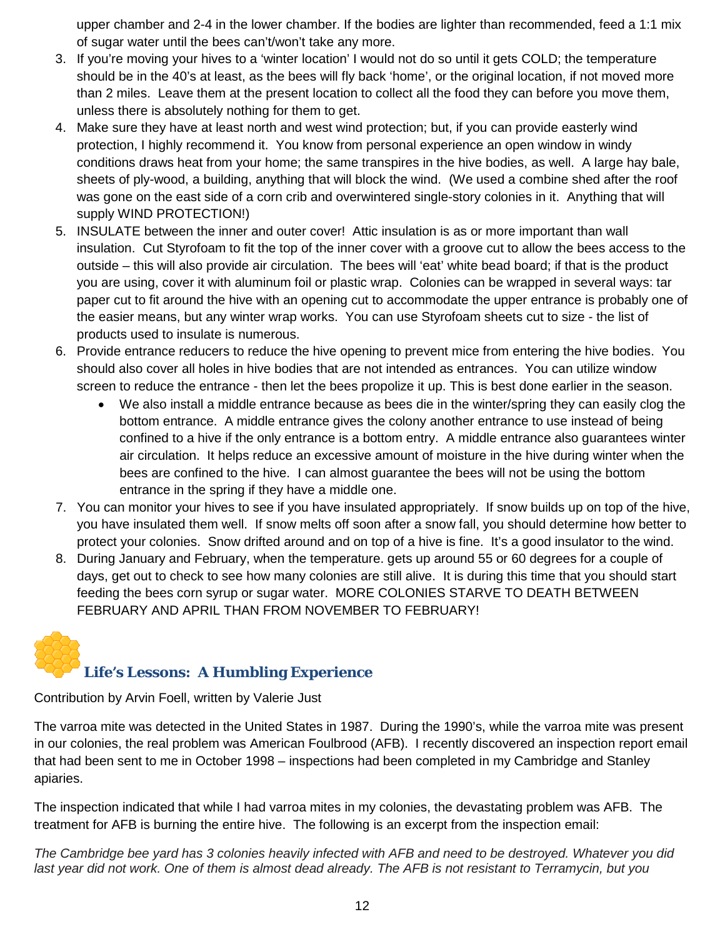upper chamber and 2-4 in the lower chamber. If the bodies are lighter than recommended, feed a 1:1 mix of sugar water until the bees can't/won't take any more.

- 3. If you're moving your hives to a 'winter location' I would not do so until it gets COLD; the temperature should be in the 40's at least, as the bees will fly back 'home', or the original location, if not moved more than 2 miles. Leave them at the present location to collect all the food they can before you move them, unless there is absolutely nothing for them to get.
- 4. Make sure they have at least north and west wind protection; but, if you can provide easterly wind protection, I highly recommend it. You know from personal experience an open window in windy conditions draws heat from your home; the same transpires in the hive bodies, as well. A large hay bale, sheets of ply-wood, a building, anything that will block the wind. (We used a combine shed after the roof was gone on the east side of a corn crib and overwintered single-story colonies in it. Anything that will supply WIND PROTECTION!)
- 5. INSULATE between the inner and outer cover! Attic insulation is as or more important than wall insulation. Cut Styrofoam to fit the top of the inner cover with a groove cut to allow the bees access to the outside – this will also provide air circulation. The bees will 'eat' white bead board; if that is the product you are using, cover it with aluminum foil or plastic wrap. Colonies can be wrapped in several ways: tar paper cut to fit around the hive with an opening cut to accommodate the upper entrance is probably one of the easier means, but any winter wrap works. You can use Styrofoam sheets cut to size - the list of products used to insulate is numerous.
- 6. Provide entrance reducers to reduce the hive opening to prevent mice from entering the hive bodies. You should also cover all holes in hive bodies that are not intended as entrances. You can utilize window screen to reduce the entrance - then let the bees propolize it up. This is best done earlier in the season.
	- We also install a middle entrance because as bees die in the winter/spring they can easily clog the bottom entrance. A middle entrance gives the colony another entrance to use instead of being confined to a hive if the only entrance is a bottom entry. A middle entrance also guarantees winter air circulation. It helps reduce an excessive amount of moisture in the hive during winter when the bees are confined to the hive. I can almost guarantee the bees will not be using the bottom entrance in the spring if they have a middle one.
- 7. You can monitor your hives to see if you have insulated appropriately. If snow builds up on top of the hive, you have insulated them well. If snow melts off soon after a snow fall, you should determine how better to protect your colonies. Snow drifted around and on top of a hive is fine. It's a good insulator to the wind.
- 8. During January and February, when the temperature. gets up around 55 or 60 degrees for a couple of days, get out to check to see how many colonies are still alive. It is during this time that you should start feeding the bees corn syrup or sugar water. MORE COLONIES STARVE TO DEATH BETWEEN FEBRUARY AND APRIL THAN FROM NOVEMBER TO FEBRUARY!

# <span id="page-11-0"></span>**Life's Lessons: A Humbling Experience**

Contribution by Arvin Foell, written by Valerie Just

The varroa mite was detected in the United States in 1987. During the 1990's, while the varroa mite was present in our colonies, the real problem was American Foulbrood (AFB). I recently discovered an inspection report email that had been sent to me in October 1998 – inspections had been completed in my Cambridge and Stanley apiaries.

The inspection indicated that while I had varroa mites in my colonies, the devastating problem was AFB. The treatment for AFB is burning the entire hive. The following is an excerpt from the inspection email:

*The Cambridge bee yard has 3 colonies heavily infected with AFB and need to be destroyed. Whatever you did last year did not work. One of them is almost dead already. The AFB is not resistant to Terramycin, but you*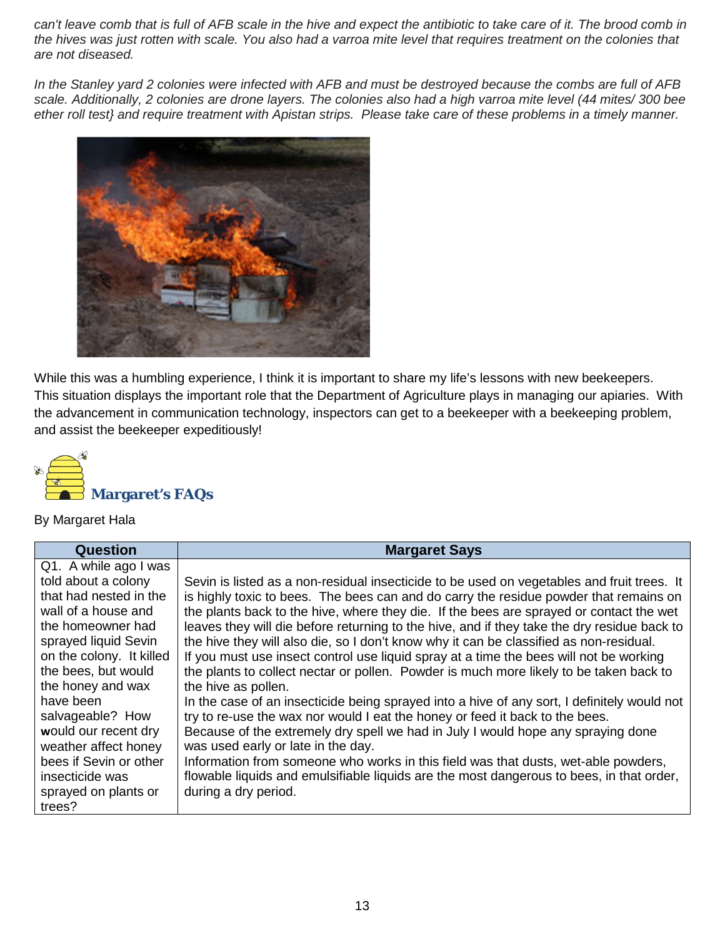*can't leave comb that is full of AFB scale in the hive and expect the antibiotic to take care of it. The brood comb in the hives was just rotten with scale. You also had a varroa mite level that requires treatment on the colonies that are not diseased.*

*In the Stanley yard 2 colonies were infected with AFB and must be destroyed because the combs are full of AFB scale. Additionally, 2 colonies are drone layers. The colonies also had a high varroa mite level (44 mites/ 300 bee ether roll test} and require treatment with Apistan strips. Please take care of these problems in a timely manner.*



While this was a humbling experience, I think it is important to share my life's lessons with new beekeepers. This situation displays the important role that the Department of Agriculture plays in managing our apiaries. With the advancement in communication technology, inspectors can get to a beekeeper with a beekeeping problem, and assist the beekeeper expeditiously!

<span id="page-12-0"></span>

By Margaret Hala

| <b>Question</b>          | <b>Margaret Says</b>                                                                        |
|--------------------------|---------------------------------------------------------------------------------------------|
| Q1. A while ago I was    |                                                                                             |
| told about a colony      | Sevin is listed as a non-residual insecticide to be used on vegetables and fruit trees. It  |
| that had nested in the   | is highly toxic to bees. The bees can and do carry the residue powder that remains on       |
| wall of a house and      | the plants back to the hive, where they die. If the bees are sprayed or contact the wet     |
| the homeowner had        | leaves they will die before returning to the hive, and if they take the dry residue back to |
| sprayed liquid Sevin     | the hive they will also die, so I don't know why it can be classified as non-residual.      |
| on the colony. It killed | If you must use insect control use liquid spray at a time the bees will not be working      |
| the bees, but would      | the plants to collect nectar or pollen. Powder is much more likely to be taken back to      |
| the honey and wax        | the hive as pollen.                                                                         |
| have been                | In the case of an insecticide being sprayed into a hive of any sort, I definitely would not |
| salvageable? How         | try to re-use the wax nor would I eat the honey or feed it back to the bees.                |
| would our recent dry     | Because of the extremely dry spell we had in July I would hope any spraying done            |
| weather affect honey     | was used early or late in the day.                                                          |
| bees if Sevin or other   | Information from someone who works in this field was that dusts, wet-able powders,          |
| insecticide was          | flowable liquids and emulsifiable liquids are the most dangerous to bees, in that order,    |
| sprayed on plants or     | during a dry period.                                                                        |
| trees?                   |                                                                                             |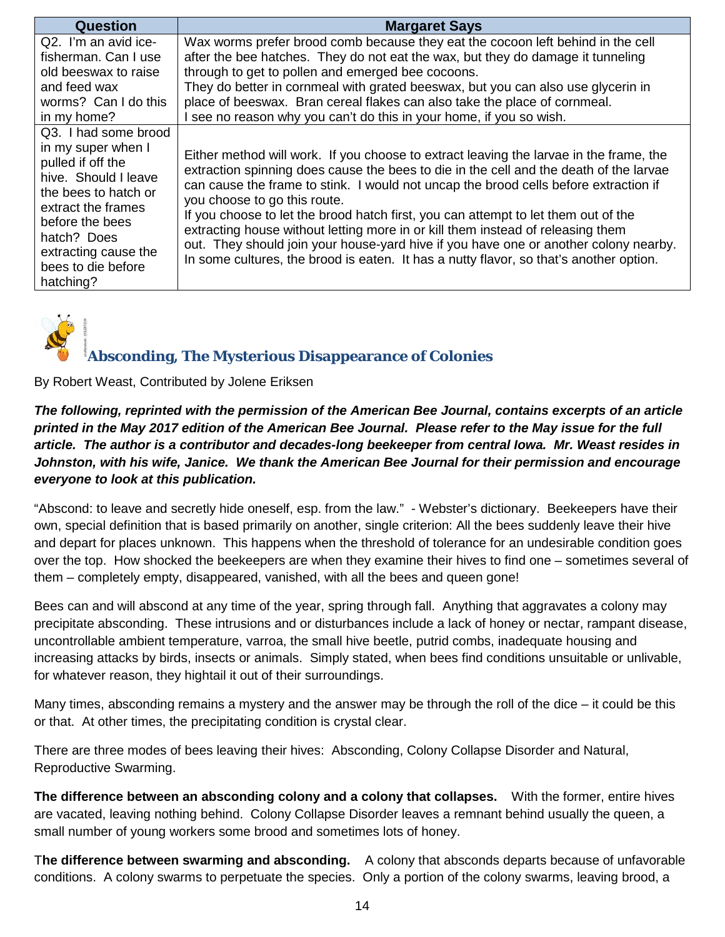| <b>Question</b>                                                                                                                                                                                                       | <b>Margaret Says</b>                                                                                                                                                                                                                                                                                                                                                                                                                                                                                                                                                                                                                                                |
|-----------------------------------------------------------------------------------------------------------------------------------------------------------------------------------------------------------------------|---------------------------------------------------------------------------------------------------------------------------------------------------------------------------------------------------------------------------------------------------------------------------------------------------------------------------------------------------------------------------------------------------------------------------------------------------------------------------------------------------------------------------------------------------------------------------------------------------------------------------------------------------------------------|
| Q2. I'm an avid ice-                                                                                                                                                                                                  | Wax worms prefer brood comb because they eat the cocoon left behind in the cell                                                                                                                                                                                                                                                                                                                                                                                                                                                                                                                                                                                     |
| fisherman. Can I use                                                                                                                                                                                                  | after the bee hatches. They do not eat the wax, but they do damage it tunneling                                                                                                                                                                                                                                                                                                                                                                                                                                                                                                                                                                                     |
| old beeswax to raise                                                                                                                                                                                                  | through to get to pollen and emerged bee cocoons.                                                                                                                                                                                                                                                                                                                                                                                                                                                                                                                                                                                                                   |
| and feed wax                                                                                                                                                                                                          | They do better in cornmeal with grated beeswax, but you can also use glycerin in                                                                                                                                                                                                                                                                                                                                                                                                                                                                                                                                                                                    |
| worms? Can I do this                                                                                                                                                                                                  | place of beeswax. Bran cereal flakes can also take the place of cornmeal.                                                                                                                                                                                                                                                                                                                                                                                                                                                                                                                                                                                           |
| in my home?                                                                                                                                                                                                           | I see no reason why you can't do this in your home, if you so wish.                                                                                                                                                                                                                                                                                                                                                                                                                                                                                                                                                                                                 |
| Q3. I had some brood<br>in my super when I<br>pulled if off the<br>hive. Should I leave<br>the bees to hatch or<br>extract the frames<br>before the bees<br>hatch? Does<br>extracting cause the<br>bees to die before | Either method will work. If you choose to extract leaving the larvae in the frame, the<br>extraction spinning does cause the bees to die in the cell and the death of the larvae<br>can cause the frame to stink. I would not uncap the brood cells before extraction if<br>you choose to go this route.<br>If you choose to let the brood hatch first, you can attempt to let them out of the<br>extracting house without letting more in or kill them instead of releasing them<br>out. They should join your house-yard hive if you have one or another colony nearby.<br>In some cultures, the brood is eaten. It has a nutty flavor, so that's another option. |
| hatching?                                                                                                                                                                                                             |                                                                                                                                                                                                                                                                                                                                                                                                                                                                                                                                                                                                                                                                     |

<span id="page-13-0"></span>

#### **Absconding, The Mysterious Disappearance of Colonies**

By Robert Weast, Contributed by Jolene Eriksen

*The following, reprinted with the permission of the American Bee Journal, contains excerpts of an article printed in the May 2017 edition of the American Bee Journal. Please refer to the May issue for the full article. The author is a contributor and decades-long beekeeper from central Iowa. Mr. Weast resides in Johnston, with his wife, Janice. We thank the American Bee Journal for their permission and encourage everyone to look at this publication.* 

"Abscond: to leave and secretly hide oneself, esp. from the law." - Webster's dictionary. Beekeepers have their own, special definition that is based primarily on another, single criterion: All the bees suddenly leave their hive and depart for places unknown. This happens when the threshold of tolerance for an undesirable condition goes over the top. How shocked the beekeepers are when they examine their hives to find one – sometimes several of them – completely empty, disappeared, vanished, with all the bees and queen gone!

Bees can and will abscond at any time of the year, spring through fall. Anything that aggravates a colony may precipitate absconding. These intrusions and or disturbances include a lack of honey or nectar, rampant disease, uncontrollable ambient temperature, varroa, the small hive beetle, putrid combs, inadequate housing and increasing attacks by birds, insects or animals. Simply stated, when bees find conditions unsuitable or unlivable, for whatever reason, they hightail it out of their surroundings.

Many times, absconding remains a mystery and the answer may be through the roll of the dice – it could be this or that. At other times, the precipitating condition is crystal clear.

There are three modes of bees leaving their hives: Absconding, Colony Collapse Disorder and Natural, Reproductive Swarming.

**The difference between an absconding colony and a colony that collapses.** With the former, entire hives are vacated, leaving nothing behind. Colony Collapse Disorder leaves a remnant behind usually the queen, a small number of young workers some brood and sometimes lots of honey.

T**he difference between swarming and absconding.** A colony that absconds departs because of unfavorable conditions. A colony swarms to perpetuate the species. Only a portion of the colony swarms, leaving brood, a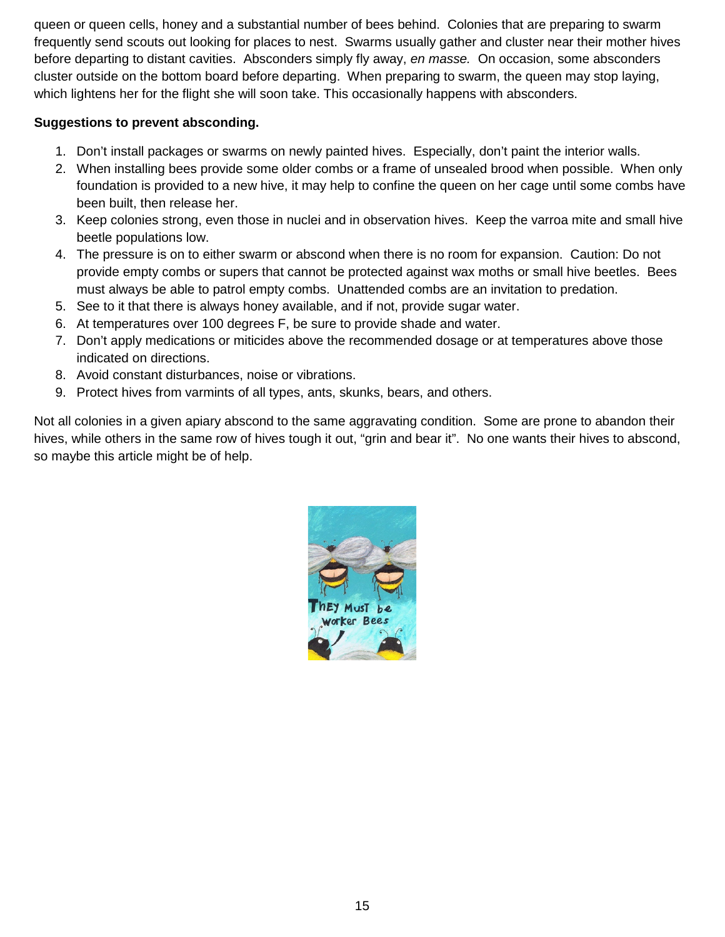queen or queen cells, honey and a substantial number of bees behind. Colonies that are preparing to swarm frequently send scouts out looking for places to nest. Swarms usually gather and cluster near their mother hives before departing to distant cavities. Absconders simply fly away, *en masse.* On occasion, some absconders cluster outside on the bottom board before departing. When preparing to swarm, the queen may stop laying, which lightens her for the flight she will soon take. This occasionally happens with absconders.

#### **Suggestions to prevent absconding.**

- 1. Don't install packages or swarms on newly painted hives. Especially, don't paint the interior walls.
- 2. When installing bees provide some older combs or a frame of unsealed brood when possible. When only foundation is provided to a new hive, it may help to confine the queen on her cage until some combs have been built, then release her.
- 3. Keep colonies strong, even those in nuclei and in observation hives. Keep the varroa mite and small hive beetle populations low.
- 4. The pressure is on to either swarm or abscond when there is no room for expansion. Caution: Do not provide empty combs or supers that cannot be protected against wax moths or small hive beetles. Bees must always be able to patrol empty combs. Unattended combs are an invitation to predation.
- 5. See to it that there is always honey available, and if not, provide sugar water.
- 6. At temperatures over 100 degrees F, be sure to provide shade and water.
- 7. Don't apply medications or miticides above the recommended dosage or at temperatures above those indicated on directions.
- 8. Avoid constant disturbances, noise or vibrations.
- 9. Protect hives from varmints of all types, ants, skunks, bears, and others.

Not all colonies in a given apiary abscond to the same aggravating condition. Some are prone to abandon their hives, while others in the same row of hives tough it out, "grin and bear it". No one wants their hives to abscond, so maybe this article might be of help.